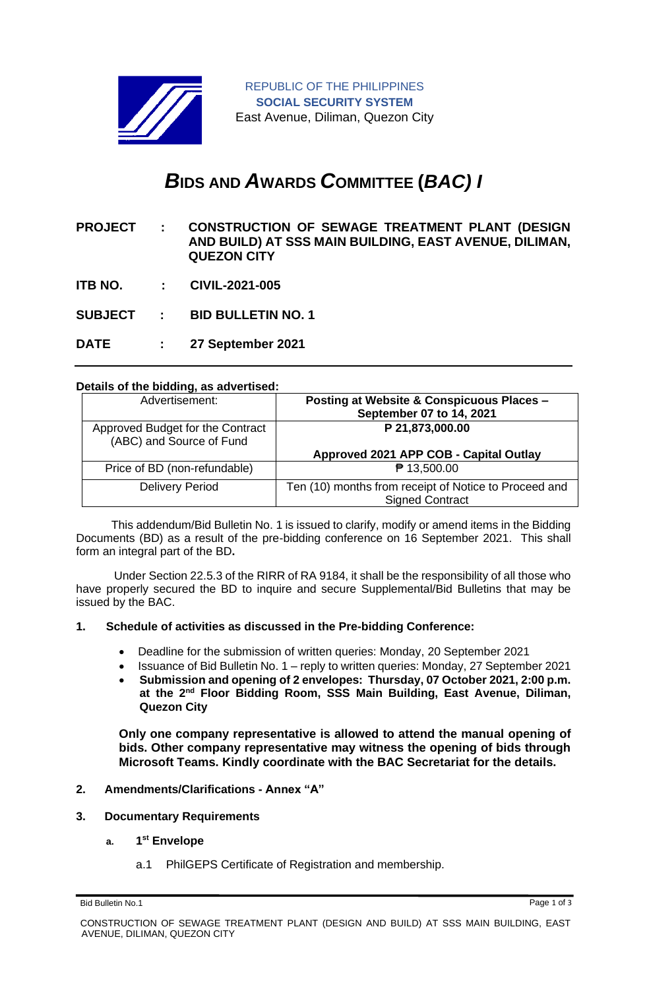

# *B***IDS AND** *A***WARDS** *C***OMMITTEE (***BAC) I*

- **PROJECT : CONSTRUCTION OF SEWAGE TREATMENT PLANT (DESIGN AND BUILD) AT SSS MAIN BUILDING, EAST AVENUE, DILIMAN, QUEZON CITY**
- **ITB NO. : CIVIL-2021-005**
- **SUBJECT : BID BULLETIN NO. 1**
- **DATE : 27 September 2021**

### **Details of the bidding, as advertised:**

| Advertisement:                                               | Posting at Website & Conspicuous Places -<br>September 07 to 14, 2021           |
|--------------------------------------------------------------|---------------------------------------------------------------------------------|
| Approved Budget for the Contract<br>(ABC) and Source of Fund | P 21,873,000.00                                                                 |
|                                                              | Approved 2021 APP COB - Capital Outlay                                          |
| Price of BD (non-refundable)                                 | ₱ 13,500.00                                                                     |
| <b>Delivery Period</b>                                       | Ten (10) months from receipt of Notice to Proceed and<br><b>Signed Contract</b> |

 This addendum/Bid Bulletin No. 1 is issued to clarify, modify or amend items in the Bidding Documents (BD) as a result of the pre-bidding conference on 16 September 2021. This shall form an integral part of the BD**.**

Under Section 22.5.3 of the RIRR of RA 9184, it shall be the responsibility of all those who have properly secured the BD to inquire and secure Supplemental/Bid Bulletins that may be issued by the BAC.

### **1. Schedule of activities as discussed in the Pre-bidding Conference:**

- Deadline for the submission of written queries: Monday, 20 September 2021
- Issuance of Bid Bulletin No. 1 reply to written queries: Monday, 27 September 2021
- **Submission and opening of 2 envelopes: Thursday, 07 October 2021, 2:00 p.m. at the 2nd Floor Bidding Room, SSS Main Building, East Avenue, Diliman, Quezon City**

**Only one company representative is allowed to attend the manual opening of bids. Other company representative may witness the opening of bids through Microsoft Teams. Kindly coordinate with the BAC Secretariat for the details.**

### **2. Amendments/Clarifications - Annex "A"**

### **3. Documentary Requirements**

- **a. 1 st Envelope**
	- a.1 PhilGEPS Certificate of Registration and membership.

Bid Bulletin No.1 Page 1 of 3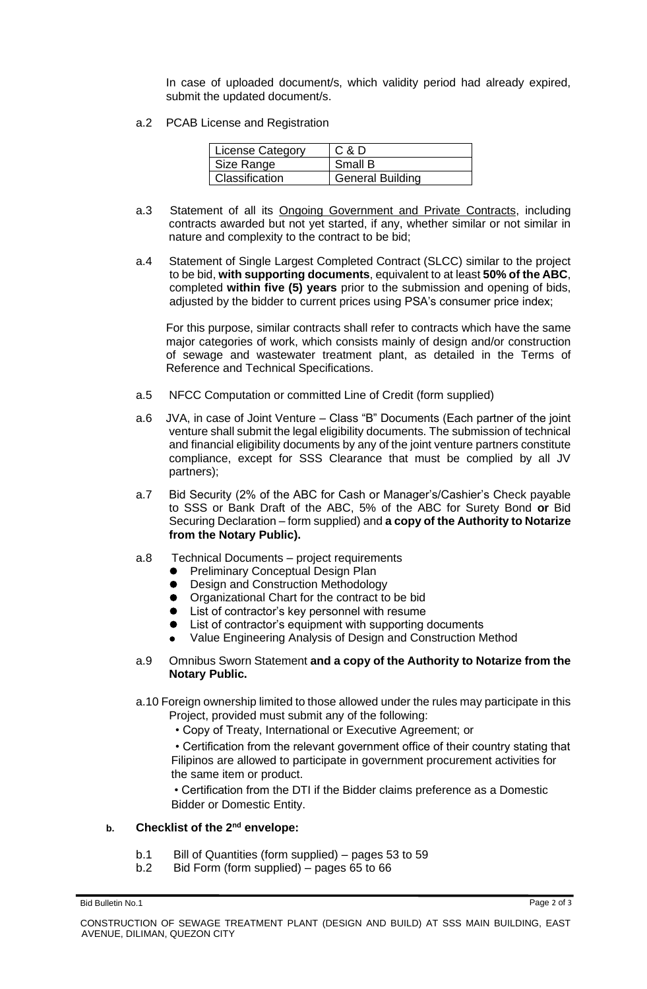In case of uploaded document/s, which validity period had already expired, submit the updated document/s.

a.2 PCAB License and Registration

| License Category      | C & D                   |
|-----------------------|-------------------------|
| Size Range            | Small B                 |
| <b>Classification</b> | <b>General Building</b> |

- a.3 Statement of all its Ongoing Government and Private Contracts, including contracts awarded but not yet started, if any, whether similar or not similar in nature and complexity to the contract to be bid;
- a.4 Statement of Single Largest Completed Contract (SLCC) similar to the project to be bid, **with supporting documents**, equivalent to at least **50% of the ABC**, completed **within five (5) years** prior to the submission and opening of bids, adjusted by the bidder to current prices using PSA's consumer price index;

For this purpose, similar contracts shall refer to contracts which have the same major categories of work, which consists mainly of design and/or construction of sewage and wastewater treatment plant, as detailed in the Terms of Reference and Technical Specifications.

- a.5 NFCC Computation or committed Line of Credit (form supplied)
- a.6 JVA, in case of Joint Venture Class "B" Documents (Each partner of the joint venture shall submit the legal eligibility documents. The submission of technical and financial eligibility documents by any of the joint venture partners constitute compliance, except for SSS Clearance that must be complied by all JV partners);
- a.7 Bid Security (2% of the ABC for Cash or Manager's/Cashier's Check payable to SSS or Bank Draft of the ABC, 5% of the ABC for Surety Bond **or** Bid Securing Declaration – form supplied) and **a copy of the Authority to Notarize from the Notary Public).**
- a.8 Technical Documents project requirements
	- ⚫ Preliminary Conceptual Design Plan
	- Design and Construction Methodology
	- Organizational Chart for the contract to be bid
	- List of contractor's key personnel with resume
	- ⚫ List of contractor's equipment with supporting documents
	- ⚫ Value Engineering Analysis of Design and Construction Method
- a.9 Omnibus Sworn Statement **and a copy of the Authority to Notarize from the Notary Public.**
- a.10 Foreign ownership limited to those allowed under the rules may participate in this Project, provided must submit any of the following:
	- Copy of Treaty, International or Executive Agreement; or

• Certification from the relevant government office of their country stating that Filipinos are allowed to participate in government procurement activities for the same item or product.

• Certification from the DTI if the Bidder claims preference as a Domestic Bidder or Domestic Entity.

### **b. Checklist of the 2nd envelope:**

- b.1 Bill of Quantities (form supplied) pages 53 to 59
- b.2 Bid Form (form supplied) pages 65 to 66

Bid Bulletin No.1 Page 2 of 3